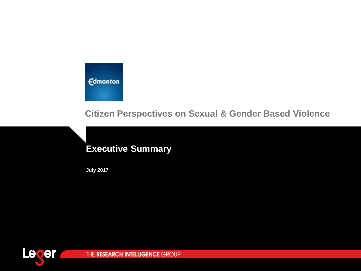**Edmonton** 

**Citizen Perspectives on Sexual & Gender Based Violence** 

# **Executive Summary**

**July 2017** 

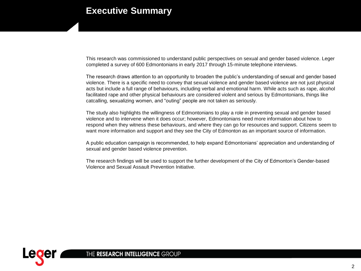## **Executive Summary**

This research was commissioned to understand public perspectives on sexual and gender based violence. Leger completed a survey of 600 Edmontonians in early 2017 through 15-minute telephone interviews.

The research draws attention to an opportunity to broaden the public's understanding of sexual and gender based violence. There is a specific need to convey that sexual violence and gender based violence are not just physical acts but include a full range of behaviours, including verbal and emotional harm. While acts such as rape, alcohol facilitated rape and other physical behaviours are considered violent and serious by Edmontonians, things like catcalling, sexualizing women, and "outing" people are not taken as seriously.

The study also highlights the willingness of Edmontonians to play a role in preventing sexual and gender based violence and to intervene when it does occur; however, Edmontonians need more information about how to respond when they witness these behaviours, and where they can go for resources and support. Citizens seem to want more information and support and they see the City of Edmonton as an important source of information.

A public education campaign is recommended, to help expand Edmontonians' appreciation and understanding of sexual and gender based violence prevention.

The research findings will be used to support the further development of the City of Edmonton's Gender-based Violence and Sexual Assault Prevention Initiative.

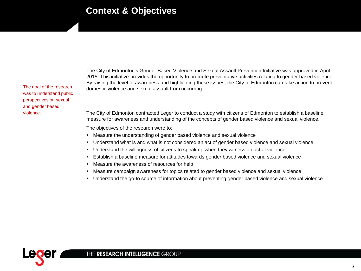### **Context & Objectives**

The goal of the research was to understand public perspectives on sexual and gender based violence

The City of Edmonton's Gender Based Violence and Sexual Assault Prevention Initiative was approved in April 2015. This initiative provides the opportunity to promote preventative activities relating to gender based violence. By raising the level of awareness and highlighting these issues, the City of Edmonton can take action to prevent domestic violence and sexual assault from occurring.

The City of Edmonton contracted Leger to conduct a study with citizens of Edmonton to establish a baseline measure for awareness and understanding of the concepts of gender based violence and sexual violence.

The objectives of the research were to:

- Measure the understanding of gender based violence and sexual violence
- Understand what is and what is not considered an act of gender based violence and sexual violence
- Understand the willingness of citizens to speak up when they witness an act of violence
- Establish a baseline measure for attitudes towards gender based violence and sexual violence
- Measure the awareness of resources for help
- " Measure campaign awareness for topics related to gender based violence and sexual violence
- Understand the go-to source of information about preventing gender based violence and sexual violence

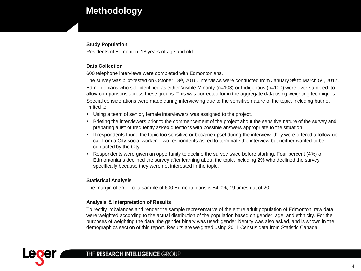# **Methodology**

#### **Study Population**

Residents of Edmonton, 18 years of age and older.

#### **Data Collection**

600 telephone interviews were completed with Edmontonians.

The survey was pilot-tested on October 13<sup>th</sup>, 2016. Interviews were conducted from January 9<sup>th</sup> to March 5<sup>th</sup>, 2017. Edmontonians who self-identified as either Visible Minority (n=103) or Indigenous (n=100) were over-sampled, to allow comparisons across these groups. This was corrected for in the aggregate data using weighting techniques. Special considerations were made during interviewing due to the sensitive nature of the topic, including but not limited to:

- Using a team of senior, female interviewers was assigned to the project.
- Briefing the interviewers prior to the commencement of the project about the sensitive nature of the survey and preparing a list of frequently asked questions with possible answers appropriate to the situation.
- If respondents found the topic too sensitive or became upset during the interview, they were offered a follow-up call from a City social worker. Two respondents asked to terminate the interview but neither wanted to be contacted by the City.
- Respondents were given an opportunity to decline the survey twice before starting. Four percent (4%) of Edmontonians declined the survey after learning about the topic, including 2% who declined the survey specifically because they were not interested in the topic.

#### **Statistical Analysis**

The margin of error for a sample of 600 Edmontonians is ±4.0%, 19 times out of 20.

#### **Analysis & Interpretation of Results**

To rectify imbalances and render the sample representative of the entire adult population of Edmonton, raw data were weighted according to the actual distribution of the population based on gender, age, and ethnicity. For the purposes of weighting the data, the gender binary was used; gender identity was also asked, and is shown in the demographics section of this report. Results are weighted using 2011 Census data from Statistic Canada.

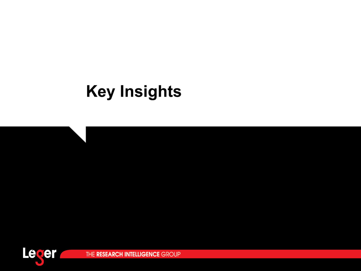# **Key Insights**

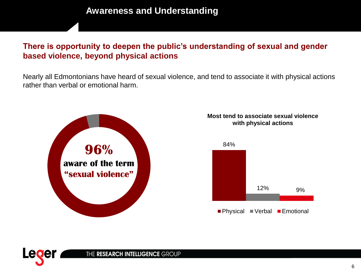### There is opportunity to deepen the public's understanding of sexual and gender based violence, beyond physical actions

Nearly all Edmontonians have heard of sexual violence, and tend to associate it with physical actions rather than verbal or emotional harm.



#### Most tend to associate sexual violence with physical actions



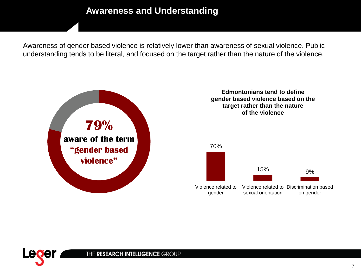# **Awareness and Understanding**

Awareness of gender based violence is relatively lower than awareness of sexual violence. Public understanding tends to be literal, and focused on the target rather than the nature of the violence.



#### **Edmontonians tend to define** gender based violence based on the target rather than the nature of the violence



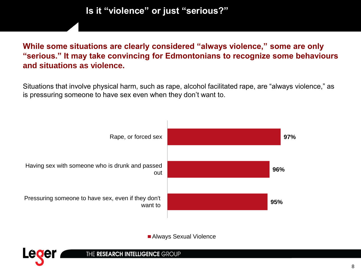Is it "violence" or just "serious?"

### While some situations are clearly considered "always violence," some are only "serious." It may take convincing for Edmontonians to recognize some behaviours and situations as violence.

Situations that involve physical harm, such as rape, alcohol facilitated rape, are "always violence," as is pressuring someone to have sex even when they don't want to.



Always Sexual Violence

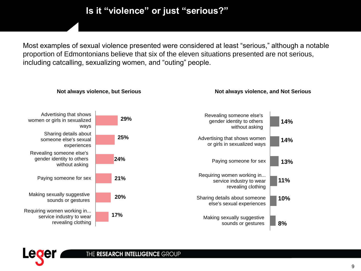# Is it "violence" or just "serious?"

Most examples of sexual violence presented were considered at least "serious," although a notable proportion of Edmontonians believe that six of the eleven situations presented are not serious, including catcalling, sexualizing women, and "outing" people.



#### THE RESEARCH INTELLIGENCE GROUP

9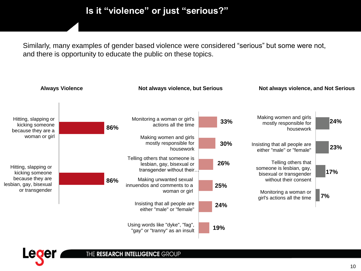# Is it "violence" or just "serious?"

Similarly, many examples of gender based violence were considered "serious" but some were not, and there is opportunity to educate the public on these topics.



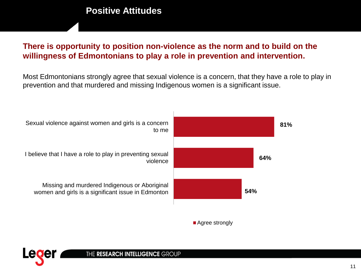# **Positive Attitudes**

### There is opportunity to position non-violence as the norm and to build on the willingness of Edmontonians to play a role in prevention and intervention.

Most Edmontonians strongly agree that sexual violence is a concern, that they have a role to play in prevention and that murdered and missing Indigenous women is a significant issue.





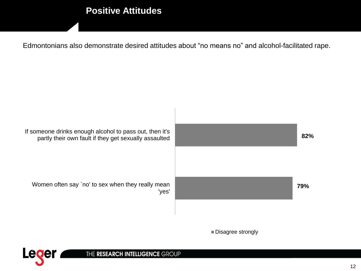# **Positive Attitudes**

Edmontonians also demonstrate desired attitudes about "no means no" and alcohol-facilitated rape.



Disagree strongly

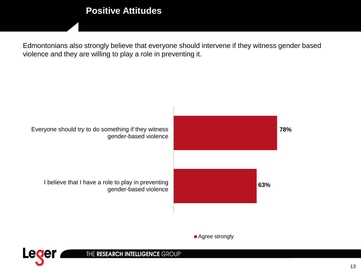# **Positive Attitudes**

Edmontonians also strongly believe that everyone should intervene if they witness gender based violence and they are willing to play a role in preventing it.



Agree strongly

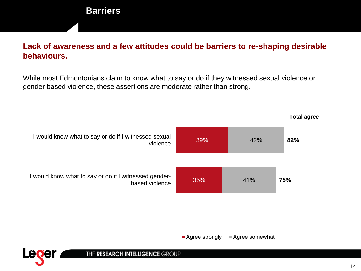### **Barriers**

### Lack of awareness and a few attitudes could be barriers to re-shaping desirable behaviours.

While most Edmontonians claim to know what to say or do if they witnessed sexual violence or gender based violence, these assertions are moderate rather than strong.



■ Agree strongly Agree somewhat

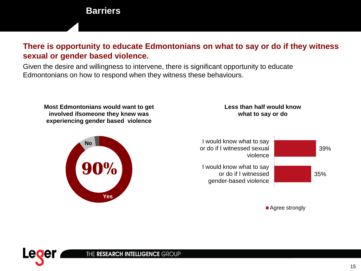### **Barriers**

### There is opportunity to educate Edmontonians on what to say or do if they witness sexual or gender based violence.

Given the desire and willingness to intervene, there is significant opportunity to educate Edmontonians on how to respond when they witness these behaviours.

Most Edmontonians would want to get involved ifsomeone they knew was experiencing gender based violence

#### Less than half would know what to say or do





■ Agree strongly

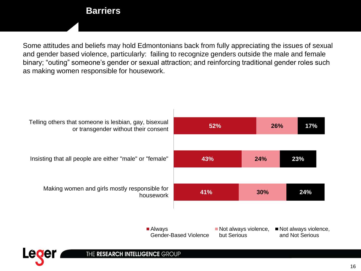### **Barriers**

Some attitudes and beliefs may hold Edmontonians back from fully appreciating the issues of sexual and gender based violence, particularly: failing to recognize genders outside the male and female binary; "outing" someone's gender or sexual attraction; and reinforcing traditional gender roles such as making women responsible for housework.



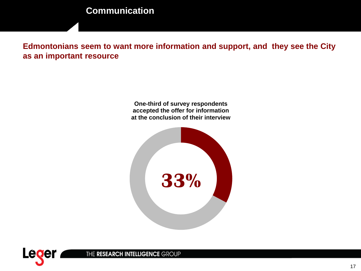# **Communication**

Edmontonians seem to want more information and support, and they see the City as an important resource

> One-third of survey respondents accepted the offer for information at the conclusion of their interview